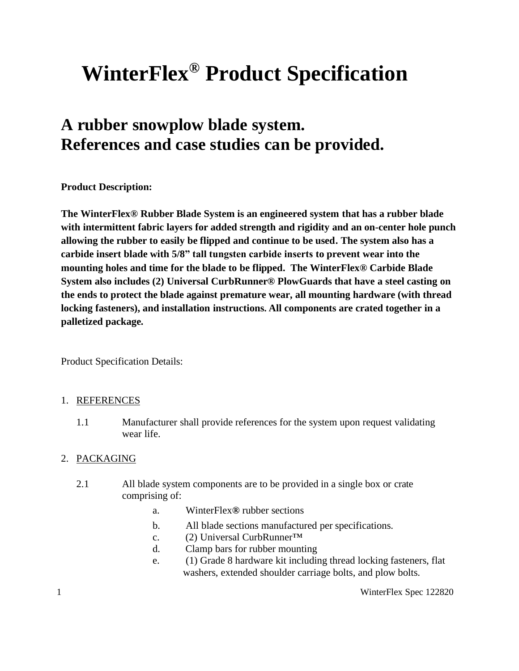# **WinterFlex® Product Specification**

## **A rubber snowplow blade system. References and case studies can be provided.**

**Product Description:**

**The WinterFlex® Rubber Blade System is an engineered system that has a rubber blade with intermittent fabric layers for added strength and rigidity and an on-center hole punch allowing the rubber to easily be flipped and continue to be used. The system also has a carbide insert blade with 5/8" tall tungsten carbide inserts to prevent wear into the mounting holes and time for the blade to be flipped. The WinterFlex® Carbide Blade System also includes (2) Universal CurbRunner® PlowGuards that have a steel casting on the ends to protect the blade against premature wear, all mounting hardware (with thread locking fasteners), and installation instructions. All components are crated together in a palletized package.** 

Product Specification Details:

#### 1. REFERENCES

1.1 Manufacturer shall provide references for the system upon request validating wear life.

#### 2. PACKAGING

- 2.1 All blade system components are to be provided in a single box or crate comprising of:
	- a. WinterFlex**®** rubber sections
	- b. All blade sections manufactured per specifications.
	- c. (2) Universal CurbRunner™
	- d. Clamp bars for rubber mounting
	- e. (1) Grade 8 hardware kit including thread locking fasteners, flat washers, extended shoulder carriage bolts, and plow bolts.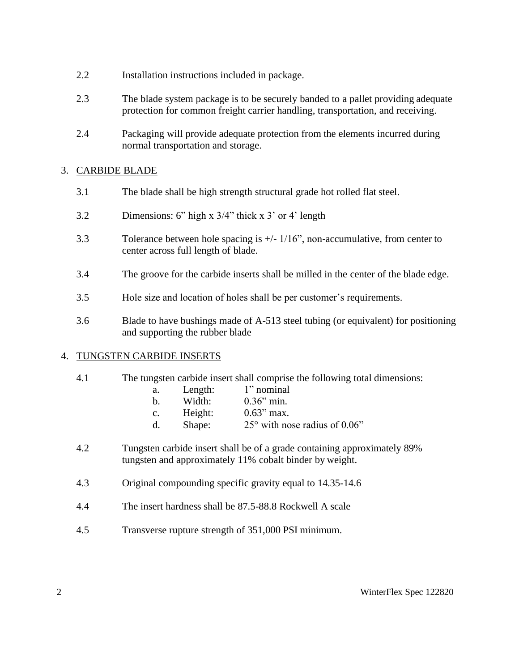- 2.2 Installation instructions included in package.
- 2.3 The blade system package is to be securely banded to a pallet providing adequate protection for common freight carrier handling, transportation, and receiving.
- 2.4 Packaging will provide adequate protection from the elements incurred during normal transportation and storage.

#### 3. CARBIDE BLADE

- 3.1 The blade shall be high strength structural grade hot rolled flat steel.
- 3.2 Dimensions: 6" high x 3/4" thick x 3' or 4' length
- 3.3 Tolerance between hole spacing is +/- 1/16", non-accumulative, from center to center across full length of blade.
- 3.4 The groove for the carbide inserts shall be milled in the center of the blade edge.
- 3.5 Hole size and location of holes shall be per customer's requirements.
- 3.6 Blade to have bushings made of A-513 steel tubing (or equivalent) for positioning and supporting the rubber blade

#### 4. TUNGSTEN CARBIDE INSERTS

- 4.1 The tungsten carbide insert shall comprise the following total dimensions:
	- a. Length: 1" nominal
		- b. Width: 0.36" min.
		- c. Height: 0.63" max.
		- d. Shape: 25° with nose radius of 0.06"
- 4.2 Tungsten carbide insert shall be of a grade containing approximately 89% tungsten and approximately 11% cobalt binder by weight.
- 4.3 Original compounding specific gravity equal to 14.35-14.6
- 4.4 The insert hardness shall be 87.5-88.8 Rockwell A scale
- 4.5 Transverse rupture strength of 351,000 PSI minimum.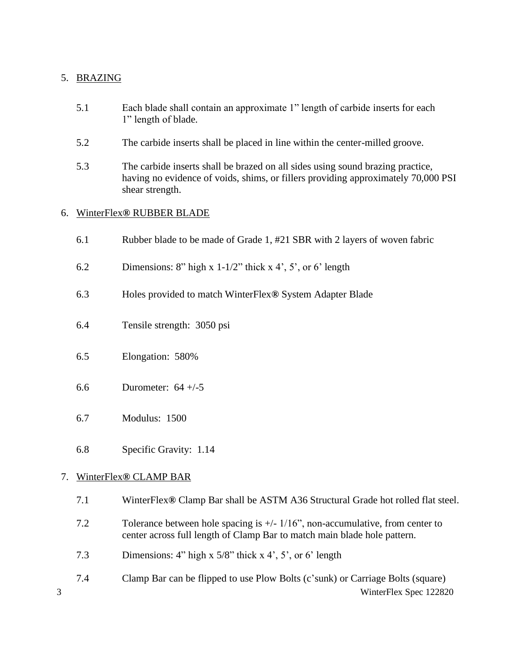#### 5. BRAZING

- 5.1 Each blade shall contain an approximate 1" length of carbide inserts for each 1" length of blade.
- 5.2 The carbide inserts shall be placed in line within the center-milled groove.
- 5.3 The carbide inserts shall be brazed on all sides using sound brazing practice, having no evidence of voids, shims, or fillers providing approximately 70,000 PSI shear strength.

#### 6. WinterFlex**®** RUBBER BLADE

- 6.1 Rubber blade to be made of Grade 1, #21 SBR with 2 layers of woven fabric
- 6.2 Dimensions: 8" high x 1-1/2" thick x 4', 5', or 6' length
- 6.3 Holes provided to match WinterFlex**®** System Adapter Blade
- 6.4 Tensile strength: 3050 psi
- 6.5 Elongation: 580%
- 6.6 Durometer: 64 +/-5
- 6.7 Modulus: 1500
- 6.8 Specific Gravity: 1.14

#### 7. WinterFlex**®** CLAMP BAR

- 7.1 WinterFlex**®** Clamp Bar shall be ASTM A36 Structural Grade hot rolled flat steel.
- 7.2 Tolerance between hole spacing is +/- 1/16", non-accumulative, from center to center across full length of Clamp Bar to match main blade hole pattern.
- 7.3 Dimensions: 4" high x 5/8" thick x 4', 5', or 6' length
- 3 WinterFlex Spec 122820 7.4 Clamp Bar can be flipped to use Plow Bolts (c'sunk) or Carriage Bolts (square)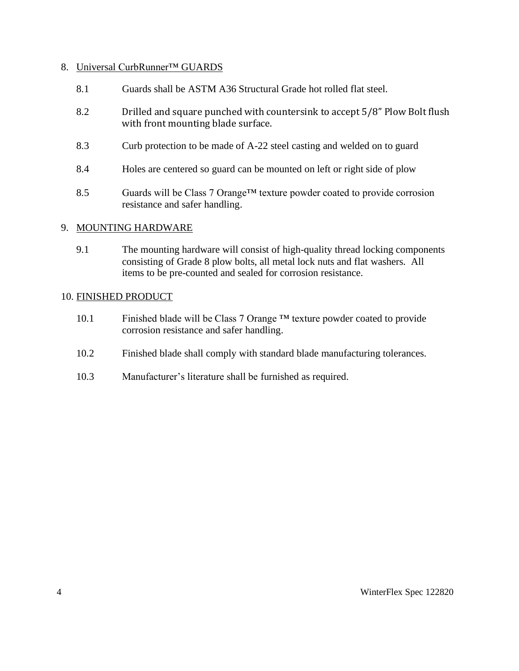#### 8. Universal CurbRunner™ GUARDS

- 8.1 Guards shall be ASTM A36 Structural Grade hot rolled flat steel.
- 8.2 Drilled and square punched with countersink to accept 5/8" Plow Bolt flush with front mounting blade surface.
- 8.3 Curb protection to be made of A-22 steel casting and welded on to guard
- 8.4 Holes are centered so guard can be mounted on left or right side of plow
- 8.5 Guards will be Class 7 Orange<sup>TM</sup> texture powder coated to provide corrosion resistance and safer handling.

#### 9. MOUNTING HARDWARE

9.1 The mounting hardware will consist of high-quality thread locking components consisting of Grade 8 plow bolts, all metal lock nuts and flat washers. All items to be pre-counted and sealed for corrosion resistance.

#### 10. FINISHED PRODUCT

- 10.1 Finished blade will be Class 7 Orange ™ texture powder coated to provide corrosion resistance and safer handling.
- 10.2 Finished blade shall comply with standard blade manufacturing tolerances.
- 10.3 Manufacturer's literature shall be furnished as required.